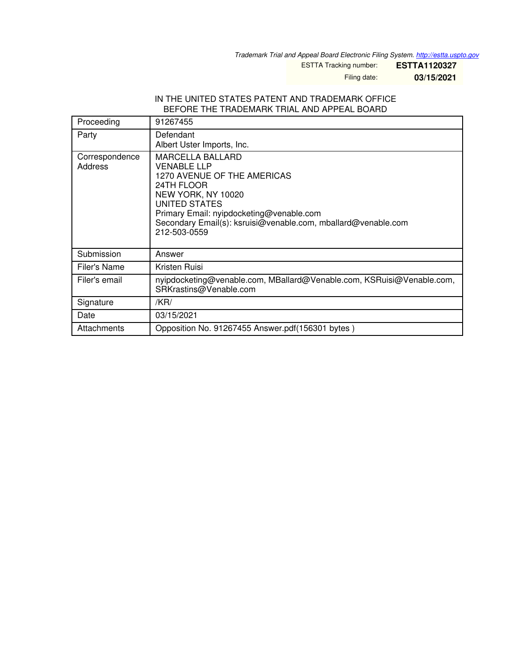*Trademark Trial and Appeal Board Electronic Filing System. <http://estta.uspto.gov>*

ESTTA Tracking number: **ESTTA1120327**

Filing date: **03/15/2021**

#### IN THE UNITED STATES PATENT AND TRADEMARK OFFICE BEFORE THE TRADEMARK TRIAL AND APPEAL BOARD

| Proceeding                | 91267455                                                                                                                                                                                                                                                       |
|---------------------------|----------------------------------------------------------------------------------------------------------------------------------------------------------------------------------------------------------------------------------------------------------------|
| Party                     | Defendant<br>Albert Uster Imports, Inc.                                                                                                                                                                                                                        |
| Correspondence<br>Address | <b>MARCELLA BALLARD</b><br><b>VENABLE LLP</b><br>1270 AVENUE OF THE AMERICAS<br>24TH FLOOR<br>NEW YORK, NY 10020<br>UNITED STATES<br>Primary Email: nyipdocketing@venable.com<br>Secondary Email(s): ksruisi@venable.com, mballard@venable.com<br>212-503-0559 |
| Submission                | Answer                                                                                                                                                                                                                                                         |
| Filer's Name              | Kristen Ruisi                                                                                                                                                                                                                                                  |
| Filer's email             | nyipdocketing@venable.com, MBallard@Venable.com, KSRuisi@Venable.com,<br>SRKrastins@Venable.com                                                                                                                                                                |
| Signature                 | /KR/                                                                                                                                                                                                                                                           |
| Date                      | 03/15/2021                                                                                                                                                                                                                                                     |
| Attachments               | Opposition No. 91267455 Answer.pdf(156301 bytes)                                                                                                                                                                                                               |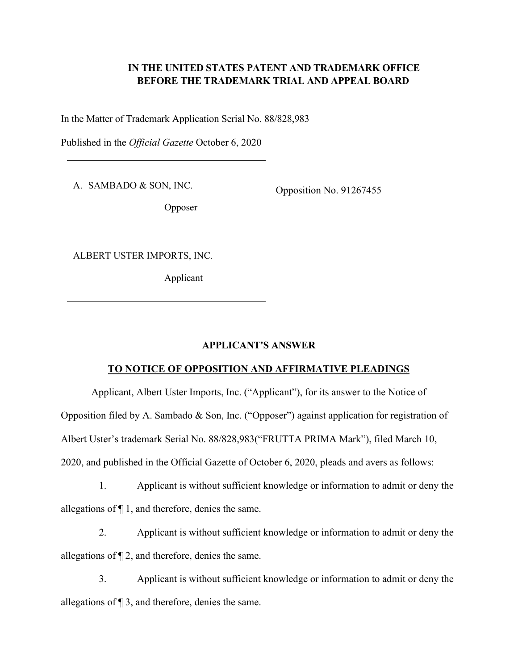# **IN THE UNITED STATES PATENT AND TRADEMARK OFFICE BEFORE THE TRADEMARK TRIAL AND APPEAL BOARD**

In the Matter of Trademark Application Serial No. 88/828,983

Published in the *Official Gazette* October 6, 2020

A. SAMBADO & SON, INC.

Opposition No. 91267455

Opposer

ALBERT USTER IMPORTS, INC.

Applicant

# **APPLICANT'S ANSWER**

#### **TO NOTICE OF OPPOSITION AND AFFIRMATIVE PLEADINGS**

Applicant, Albert Uster Imports, Inc. ("Applicant"), for its answer to the Notice of Opposition filed by A. Sambado & Son, Inc. ("Opposer") against application for registration of Albert Uster's trademark Serial No. 88/828,983("FRUTTA PRIMA Mark"), filed March 10, 2020, and published in the Official Gazette of October 6, 2020, pleads and avers as follows:

1. Applicant is without sufficient knowledge or information to admit or deny the allegations of ¶ 1, and therefore, denies the same.

2. Applicant is without sufficient knowledge or information to admit or deny the allegations of ¶ 2, and therefore, denies the same.

3. Applicant is without sufficient knowledge or information to admit or deny the allegations of ¶ 3, and therefore, denies the same.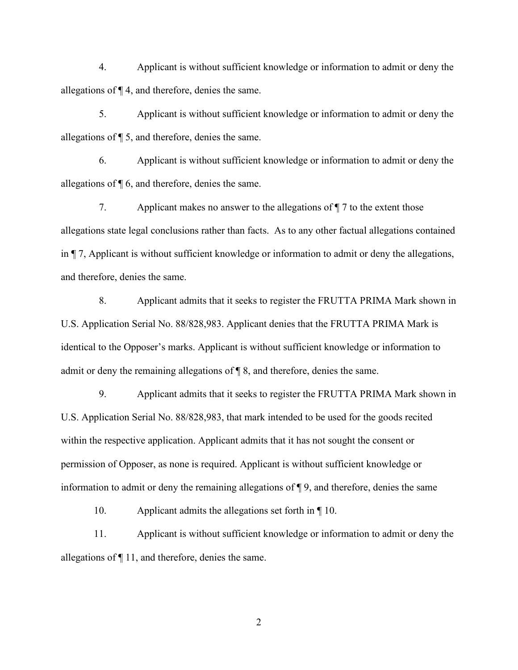4. Applicant is without sufficient knowledge or information to admit or deny the allegations of ¶ 4, and therefore, denies the same.

5. Applicant is without sufficient knowledge or information to admit or deny the allegations of ¶ 5, and therefore, denies the same.

6. Applicant is without sufficient knowledge or information to admit or deny the allegations of ¶ 6, and therefore, denies the same.

7. Applicant makes no answer to the allegations of ¶ 7 to the extent those allegations state legal conclusions rather than facts. As to any other factual allegations contained in ¶ 7, Applicant is without sufficient knowledge or information to admit or deny the allegations, and therefore, denies the same.

8. Applicant admits that it seeks to register the FRUTTA PRIMA Mark shown in U.S. Application Serial No. 88/828,983. Applicant denies that the FRUTTA PRIMA Mark is identical to the Opposer's marks. Applicant is without sufficient knowledge or information to admit or deny the remaining allegations of ¶ 8, and therefore, denies the same.

9. Applicant admits that it seeks to register the FRUTTA PRIMA Mark shown in U.S. Application Serial No. 88/828,983, that mark intended to be used for the goods recited within the respective application. Applicant admits that it has not sought the consent or permission of Opposer, as none is required. Applicant is without sufficient knowledge or information to admit or deny the remaining allegations of ¶ 9, and therefore, denies the same

10. Applicant admits the allegations set forth in ¶ 10.

11. Applicant is without sufficient knowledge or information to admit or deny the allegations of ¶ 11, and therefore, denies the same.

2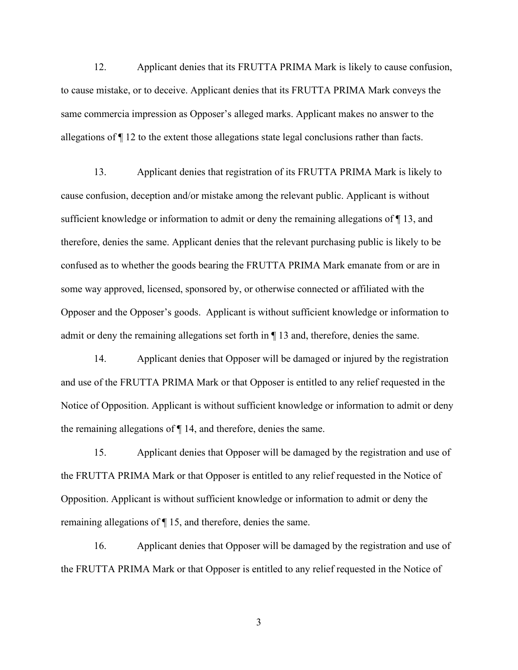12. Applicant denies that its FRUTTA PRIMA Mark is likely to cause confusion, to cause mistake, or to deceive. Applicant denies that its FRUTTA PRIMA Mark conveys the same commercia impression as Opposer's alleged marks. Applicant makes no answer to the allegations of ¶ 12 to the extent those allegations state legal conclusions rather than facts.

13. Applicant denies that registration of its FRUTTA PRIMA Mark is likely to cause confusion, deception and/or mistake among the relevant public. Applicant is without sufficient knowledge or information to admit or deny the remaining allegations of ¶ 13, and therefore, denies the same. Applicant denies that the relevant purchasing public is likely to be confused as to whether the goods bearing the FRUTTA PRIMA Mark emanate from or are in some way approved, licensed, sponsored by, or otherwise connected or affiliated with the Opposer and the Opposer's goods. Applicant is without sufficient knowledge or information to admit or deny the remaining allegations set forth in ¶ 13 and, therefore, denies the same.

14. Applicant denies that Opposer will be damaged or injured by the registration and use of the FRUTTA PRIMA Mark or that Opposer is entitled to any relief requested in the Notice of Opposition. Applicant is without sufficient knowledge or information to admit or deny the remaining allegations of ¶ 14, and therefore, denies the same.

15. Applicant denies that Opposer will be damaged by the registration and use of the FRUTTA PRIMA Mark or that Opposer is entitled to any relief requested in the Notice of Opposition. Applicant is without sufficient knowledge or information to admit or deny the remaining allegations of ¶ 15, and therefore, denies the same.

16. Applicant denies that Opposer will be damaged by the registration and use of the FRUTTA PRIMA Mark or that Opposer is entitled to any relief requested in the Notice of

3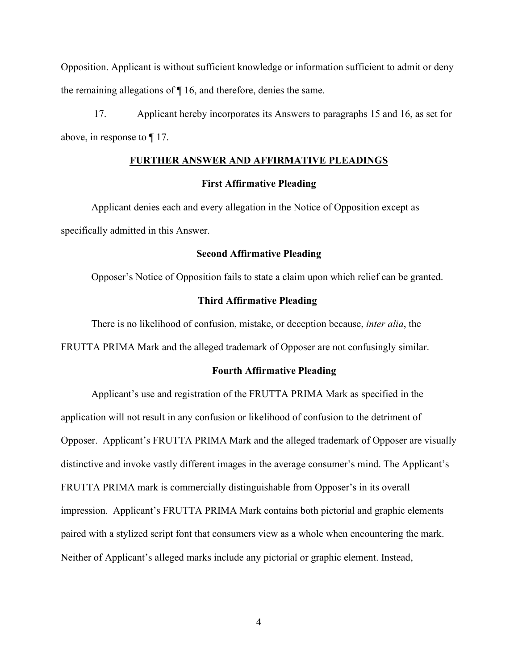Opposition. Applicant is without sufficient knowledge or information sufficient to admit or deny the remaining allegations of ¶ 16, and therefore, denies the same.

17. Applicant hereby incorporates its Answers to paragraphs 15 and 16, as set for above, in response to ¶ 17.

#### **FURTHER ANSWER AND AFFIRMATIVE PLEADINGS**

## **First Affirmative Pleading**

Applicant denies each and every allegation in the Notice of Opposition except as specifically admitted in this Answer.

#### **Second Affirmative Pleading**

Opposer's Notice of Opposition fails to state a claim upon which relief can be granted.

#### **Third Affirmative Pleading**

There is no likelihood of confusion, mistake, or deception because, *inter alia*, the FRUTTA PRIMA Mark and the alleged trademark of Opposer are not confusingly similar.

#### **Fourth Affirmative Pleading**

Applicant's use and registration of the FRUTTA PRIMA Mark as specified in the application will not result in any confusion or likelihood of confusion to the detriment of Opposer. Applicant's FRUTTA PRIMA Mark and the alleged trademark of Opposer are visually distinctive and invoke vastly different images in the average consumer's mind. The Applicant's FRUTTA PRIMA mark is commercially distinguishable from Opposer's in its overall impression. Applicant's FRUTTA PRIMA Mark contains both pictorial and graphic elements paired with a stylized script font that consumers view as a whole when encountering the mark. Neither of Applicant's alleged marks include any pictorial or graphic element. Instead,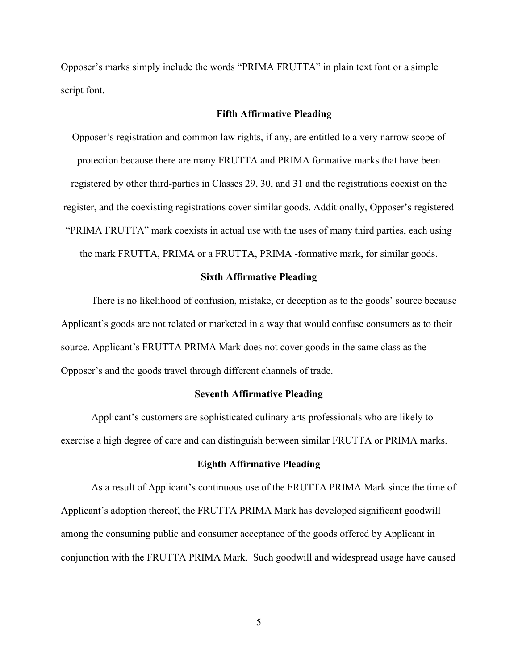Opposer's marks simply include the words "PRIMA FRUTTA" in plain text font or a simple script font.

## **Fifth Affirmative Pleading**

Opposer's registration and common law rights, if any, are entitled to a very narrow scope of protection because there are many FRUTTA and PRIMA formative marks that have been registered by other third-parties in Classes 29, 30, and 31 and the registrations coexist on the register, and the coexisting registrations cover similar goods. Additionally, Opposer's registered "PRIMA FRUTTA" mark coexists in actual use with the uses of many third parties, each using the mark FRUTTA, PRIMA or a FRUTTA, PRIMA -formative mark, for similar goods.

#### **Sixth Affirmative Pleading**

There is no likelihood of confusion, mistake, or deception as to the goods' source because Applicant's goods are not related or marketed in a way that would confuse consumers as to their source. Applicant's FRUTTA PRIMA Mark does not cover goods in the same class as the Opposer's and the goods travel through different channels of trade.

#### **Seventh Affirmative Pleading**

Applicant's customers are sophisticated culinary arts professionals who are likely to exercise a high degree of care and can distinguish between similar FRUTTA or PRIMA marks.

#### **Eighth Affirmative Pleading**

As a result of Applicant's continuous use of the FRUTTA PRIMA Mark since the time of Applicant's adoption thereof, the FRUTTA PRIMA Mark has developed significant goodwill among the consuming public and consumer acceptance of the goods offered by Applicant in conjunction with the FRUTTA PRIMA Mark. Such goodwill and widespread usage have caused

5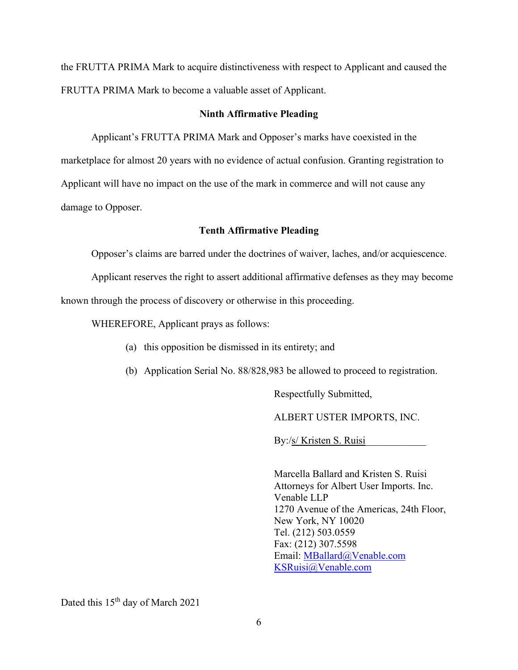the FRUTTA PRIMA Mark to acquire distinctiveness with respect to Applicant and caused the FRUTTA PRIMA Mark to become a valuable asset of Applicant.

# **Ninth Affirmative Pleading**

Applicant's FRUTTA PRIMA Mark and Opposer's marks have coexisted in the marketplace for almost 20 years with no evidence of actual confusion. Granting registration to Applicant will have no impact on the use of the mark in commerce and will not cause any damage to Opposer.

## **Tenth Affirmative Pleading**

Opposer's claims are barred under the doctrines of waiver, laches, and/or acquiescence.

Applicant reserves the right to assert additional affirmative defenses as they may become

known through the process of discovery or otherwise in this proceeding.

WHEREFORE, Applicant prays as follows:

- (a) this opposition be dismissed in its entirety; and
- (b) Application Serial No. 88/828,983 be allowed to proceed to registration.

Respectfully Submitted,

ALBERT USTER IMPORTS, INC.

By:/s/ Kristen S. Ruisi

Marcella Ballard and Kristen S. Ruisi Attorneys for Albert User Imports. Inc. Venable LLP 1270 Avenue of the Americas, 24th Floor, New York, NY 10020 Tel. (212) 503.0559 Fax: (212) 307.5598 Email: MBallard@Venable.com KSRuisi@Venable.com

Dated this 15<sup>th</sup> day of March 2021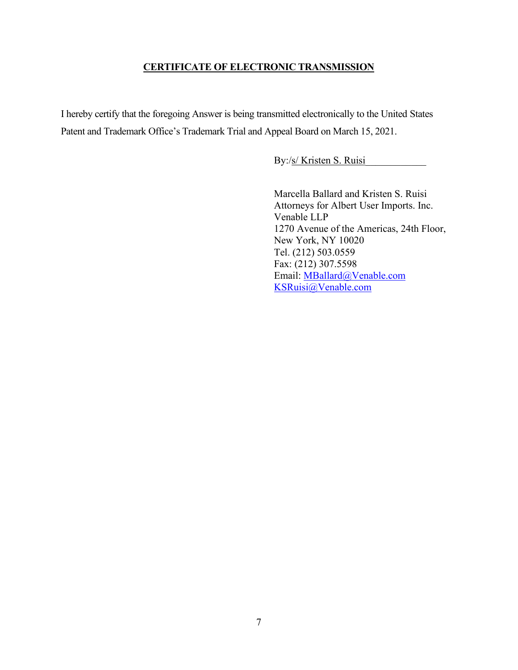# **CERTIFICATE OF ELECTRONIC TRANSMISSION**

I hereby certify that the foregoing Answer is being transmitted electronically to the United States Patent and Trademark Office's Trademark Trial and Appeal Board on March 15, 2021.

By:/s/ Kristen S. Ruisi

Marcella Ballard and Kristen S. Ruisi Attorneys for Albert User Imports. Inc. Venable LLP 1270 Avenue of the Americas, 24th Floor, New York, NY 10020 Tel. (212) 503.0559 Fax: (212) 307.5598 Email: MBallard@Venable.com KSRuisi@Venable.com